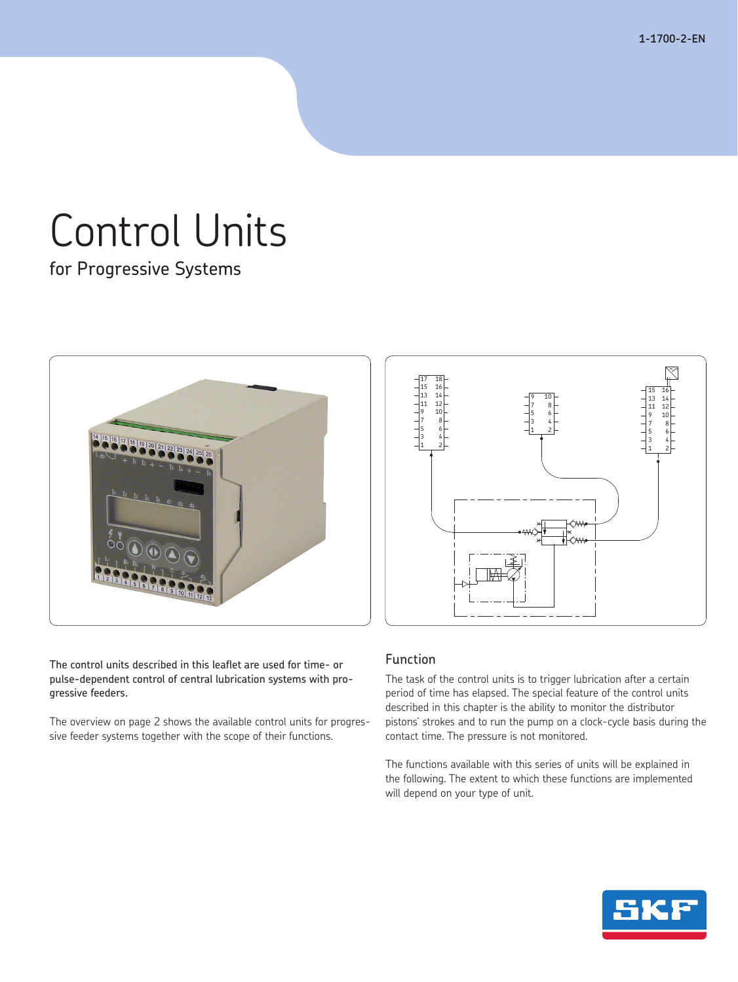**1-1700-2-EN**

# Control Units

for Progressive Systems





The control units described in this leaflet are used for time- or pulse-dependent control of central lubrication systems with progressive feeders.

The overview on page 2 shows the available control units for progressive feeder systems together with the scope of their functions.

# Function

The task of the control units is to trigger lubrication after a certain period of time has elapsed. The special feature of the control units described in this chapter is the ability to monitor the distributor pistons' strokes and to run the pump on a clock-cycle basis during the contact time. The pressure is not monitored.

The functions available with this series of units will be explained in the following. The extent to which these functions are implemented will depend on your type of unit.

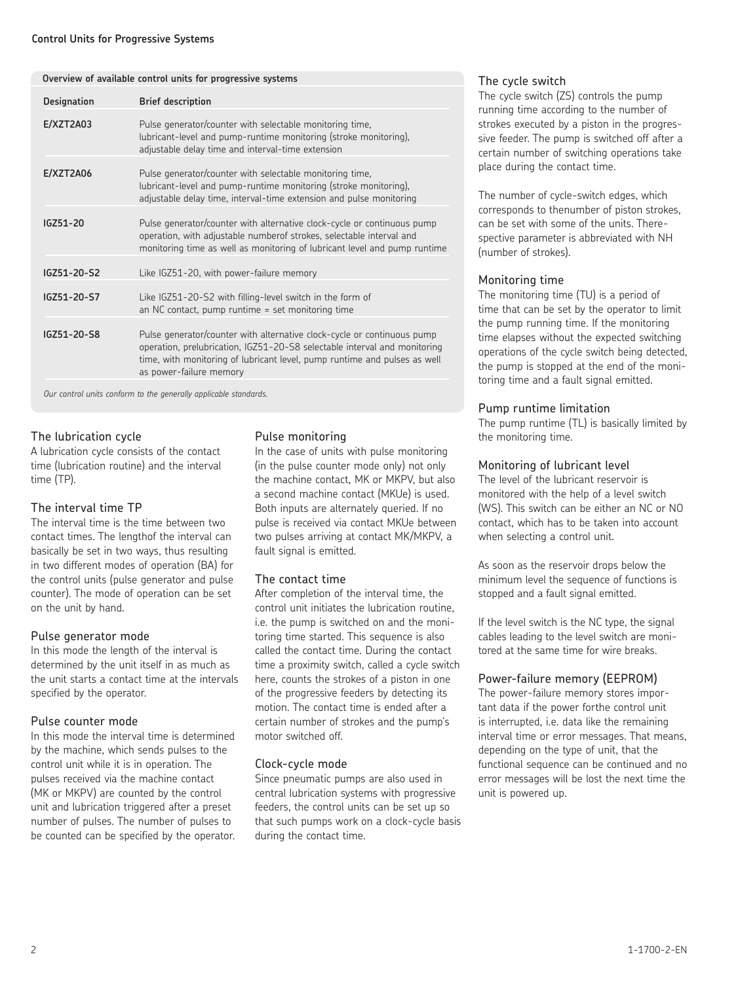|                    | Overview of available control units for progressive systems                                                                                                                                                                                                  |
|--------------------|--------------------------------------------------------------------------------------------------------------------------------------------------------------------------------------------------------------------------------------------------------------|
| <b>Designation</b> | <b>Brief description</b>                                                                                                                                                                                                                                     |
| E/XZT2A03          | Pulse generator/counter with selectable monitoring time,<br>lubricant-level and pump-runtime monitoring (stroke monitoring),<br>adjustable delay time and interval-time extension                                                                            |
| E/XZT2A06          | Pulse generator/counter with selectable monitoring time,<br>lubricant-level and pump-runtime monitoring (stroke monitoring),<br>adjustable delay time, interval-time extension and pulse monitoring                                                          |
| IGZ51-20           | Pulse generator/counter with alternative clock-cycle or continuous pump<br>operation, with adjustable numberof strokes, selectable interval and<br>monitoring time as well as monitoring of lubricant level and pump runtime                                 |
| IGZ51-20-S2        | Like IGZ51-20, with power-failure memory                                                                                                                                                                                                                     |
| IGZ51-20-S7        | Like IGZ51-20-S2 with filling-level switch in the form of<br>an NC contact, pump runtime $=$ set monitoring time                                                                                                                                             |
| IGZ51-20-S8        | Pulse generator/counter with alternative clock-cycle or continuous pump<br>operation, prelubrication, IGZ51-20-S8 selectable interval and monitoring<br>time, with monitoring of lubricant level, pump runtime and pulses as well<br>as power-failure memory |

 *Our control units conform to the generally applicable standards.*

### The lubrication cycle

A lubrication cycle consists of the contact time (lubrication routine) and the interval time (TP).

### The interval time TP

The interval time is the time between two contact times. The lengthof the interval can basically be set in two ways, thus resulting in two different modes of operation (BA) for the control units (pulse generator and pulse counter). The mode of operation can be set on the unit by hand.

### Pulse generator mode

In this mode the length of the interval is determined by the unit itself in as much as the unit starts a contact time at the intervals specified by the operator.

### Pulse counter mode

In this mode the interval time is determined by the machine, which sends pulses to the control unit while it is in operation. The pulses received via the machine contact (MK or MKPV) are counted by the control unit and lubrication triggered after a preset number of pulses. The number of pulses to be counted can be specified by the operator.

### Pulse monitoring

In the case of units with pulse monitoring (in the pulse counter mode only) not only the machine contact, MK or MKPV, but also a second machine contact (MKUe) is used. Both inputs are alternately queried. If no pulse is received via contact MKUe between two pulses arriving at contact MK/MKPV, a fault signal is emitted.

### The contact time

After completion of the interval time, the control unit initiates the lubrication routine, i.e. the pump is switched on and the monitoring time started. This sequence is also called the contact time. During the contact time a proximity switch, called a cycle switch here, counts the strokes of a piston in one of the progressive feeders by detecting its motion. The contact time is ended after a certain number of strokes and the pump's motor switched off.

### Clock-cycle mode

Since pneumatic pumps are also used in central lubrication systems with progressive feeders, the control units can be set up so that such pumps work on a clock-cycle basis during the contact time.

### The cycle switch

The cycle switch (ZS) controls the pump running time according to the number of strokes executed by a piston in the progressive feeder. The pump is switched off after a certain number of switching operations take place during the contact time.

The number of cycle-switch edges, which corresponds to thenumber of piston strokes, can be set with some of the units. Therespective parameter is abbreviated with NH (number of strokes).

### Monitoring time

The monitoring time (TU) is a period of time that can be set by the operator to limit the pump running time. If the monitoring time elapses without the expected switching operations of the cycle switch being detected, the pump is stopped at the end of the monitoring time and a fault signal emitted.

### Pump runtime limitation

The pump runtime (TL) is basically limited by the monitoring time.

### Monitoring of lubricant level

The level of the lubricant reservoir is monitored with the help of a level switch (WS). This switch can be either an NC or NO contact, which has to be taken into account when selecting a control unit.

As soon as the reservoir drops below the minimum level the sequence of functions is stopped and a fault signal emitted.

If the level switch is the NC type, the signal cables leading to the level switch are monitored at the same time for wire breaks.

### Power-failure memory (EEPROM)

The power-failure memory stores important data if the power forthe control unit is interrupted, i.e. data like the remaining interval time or error messages. That means, depending on the type of unit, that the functional sequence can be continued and no error messages will be lost the next time the unit is powered up.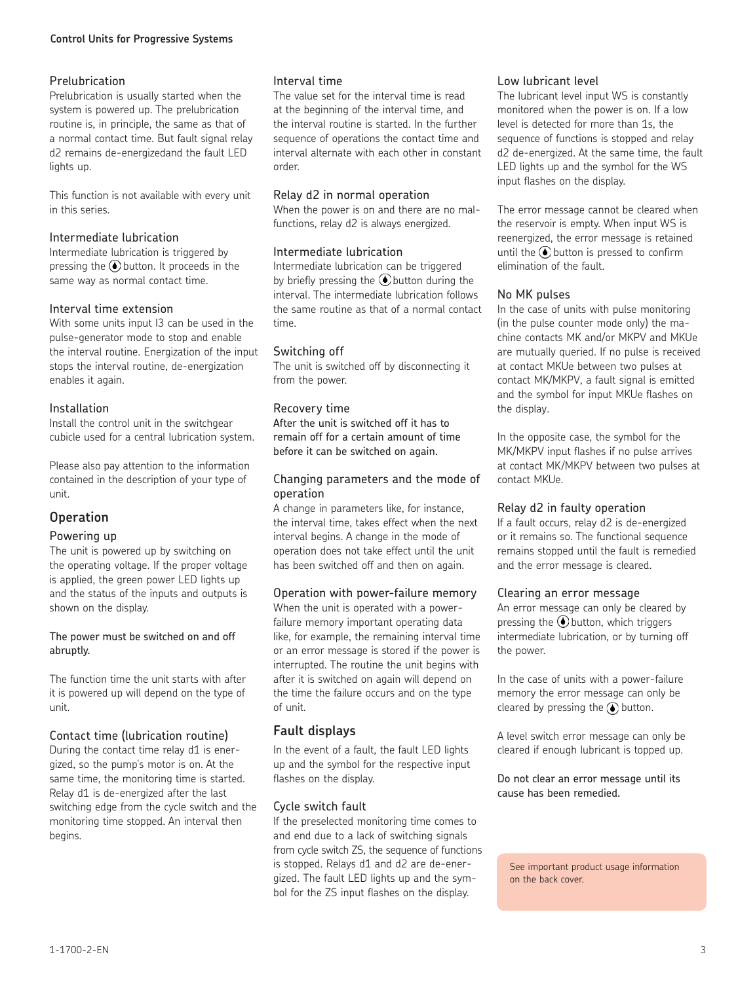### **Control Units for Progressive Systems**

### Prelubrication

Prelubrication is usually started when the system is powered up. The prelubrication routine is, in principle, the same as that of a normal contact time. But fault signal relay d2 remains de-energizedand the fault LED lights up.

This function is not available with every unit in this series.

### Intermediate lubrication

Intermediate lubrication is triggered by pressing the  $\odot$  button. It proceeds in the same way as normal contact time.

### Interval time extension

With some units input I3 can be used in the pulse-generator mode to stop and enable the interval routine. Energization of the input stops the interval routine, de-energization enables it again.

### Installation

Install the control unit in the switchgear cubicle used for a central lubrication system.

Please also pay attention to the information contained in the description of your type of unit.

# **Operation**

### Powering up

The unit is powered up by switching on the operating voltage. If the proper voltage is applied, the green power LED lights up and the status of the inputs and outputs is shown on the display.

### The power must be switched on and off abruptly.

The function time the unit starts with after it is powered up will depend on the type of unit.

### Contact time (lubrication routine)

During the contact time relay d1 is energized, so the pump's motor is on. At the same time, the monitoring time is started. Relay d1 is de-energized after the last switching edge from the cycle switch and the monitoring time stopped. An interval then begins.

### Interval time

The value set for the interval time is read at the beginning of the interval time, and the interval routine is started. In the further sequence of operations the contact time and interval alternate with each other in constant order.

### Relay d2 in normal operation

When the power is on and there are no malfunctions, relay d2 is always energized.

### Intermediate lubrication

Intermediate lubrication can be triggered by briefly pressing the  $\bigcirc$  button during the interval. The intermediate lubrication follows the same routine as that of a normal contact time.

### Switching off

The unit is switched off by disconnecting it from the power.

### Recovery time

After the unit is switched off it has to remain off for a certain amount of time before it can be switched on again.

### Changing parameters and the mode of operation

A change in parameters like, for instance, the interval time, takes effect when the next interval begins. A change in the mode of operation does not take effect until the unit has been switched off and then on again.

### Operation with power-failure memory

When the unit is operated with a powerfailure memory important operating data like, for example, the remaining interval time or an error message is stored if the power is interrupted. The routine the unit begins with after it is switched on again will depend on the time the failure occurs and on the type of unit.

### **Fault displays**

In the event of a fault, the fault LED lights up and the symbol for the respective input flashes on the display.

### Cycle switch fault

If the preselected monitoring time comes to and end due to a lack of switching signals from cycle switch ZS, the sequence of functions is stopped. Relays d1 and d2 are de-energized. The fault LED lights up and the symbol for the ZS input flashes on the display.

### Low lubricant level

The lubricant level input WS is constantly monitored when the power is on. If a low level is detected for more than 1s, the sequence of functions is stopped and relay d2 de-energized. At the same time, the fault LED lights up and the symbol for the WS input flashes on the display.

The error message cannot be cleared when the reservoir is empty. When input WS is reenergized, the error message is retained until the  $\circledbullet$  button is pressed to confirm elimination of the fault.

### No MK pulses

In the case of units with pulse monitoring (in the pulse counter mode only) the machine contacts MK and/or MKPV and MKUe are mutually queried. If no pulse is received at contact MKUe between two pulses at contact MK/MKPV, a fault signal is emitted and the symbol for input MKUe flashes on the display.

In the opposite case, the symbol for the MK/MKPV input flashes if no pulse arrives at contact MK/MKPV between two pulses at contact MKUe.

### Relay d2 in faulty operation

If a fault occurs, relay d2 is de-energized or it remains so. The functional sequence remains stopped until the fault is remedied and the error message is cleared.

### Clearing an error message

An error message can only be cleared by pressing the  $\odot$  button, which triggers intermediate lubrication, or by turning off the power.

In the case of units with a power-failure memory the error message can only be cleared by pressing the  $\odot$  button.

A level switch error message can only be cleared if enough lubricant is topped up.

Do not clear an error message until its cause has been remedied.

See important product usage information on the back cover.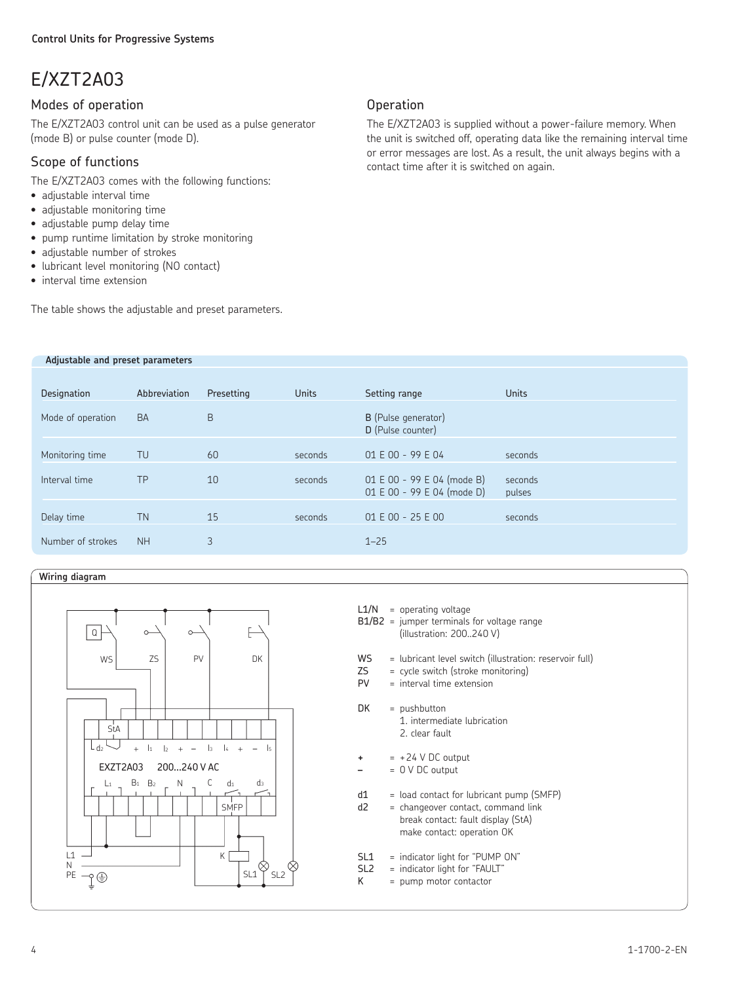# E/XZT2A03

# Modes of operation

The E/XZT2A03 control unit can be used as a pulse generator (mode B) or pulse counter (mode D).

# Scope of functions

The E/XZT2A03 comes with the following functions:

- adjustable interval time
- adjustable monitoring time
- adjustable pump delay time
- pump runtime limitation by stroke monitoring
- adjustable number of strokes
- lubricant level monitoring (NO contact)

 **Adjustable and preset parameters**

• interval time extension

The table shows the adjustable and preset parameters.

# **Operation**

The E/XZT2A03 is supplied without a power-failure memory. When the unit is switched off, operating data like the remaining interval time or error messages are lost. As a result, the unit always begins with a contact time after it is switched on again.

| Designation       | Abbreviation | Presetting | <b>Units</b> | Setting range                                            | <b>Units</b>      |
|-------------------|--------------|------------|--------------|----------------------------------------------------------|-------------------|
| Mode of operation | <b>BA</b>    | B          |              | B (Pulse generator)<br>D (Pulse counter)                 |                   |
| Monitoring time   | TU           | 60         | seconds      | 01 E 00 - 99 E 04                                        | seconds           |
| Interval time     | TP           | 10         | seconds      | 01 E 00 - 99 E 04 (mode B)<br>01 E 00 - 99 E 04 (mode D) | seconds<br>pulses |
| Delay time        | <b>TN</b>    | 15         | seconds      | $01 E 00 - 25 E 00$                                      | seconds           |
| Number of strokes | <b>NH</b>    | 3          |              | $1 - 25$                                                 |                   |

### **Wiring diagram**



|                         | $L1/N$ = operating voltage<br>$B1/B2$ = jumper terminals for voltage range<br>(illustration: 200240 V)                                             |
|-------------------------|----------------------------------------------------------------------------------------------------------------------------------------------------|
| <b>WS</b><br>ZS F<br>PV | = lubricant level switch (illustration: reservoir full)<br>= cycle switch (stroke monitoring)<br>$=$ interval time extension                       |
| DK                      | $=$ pushbutton<br>1. intermediate lubrication<br>2. clear fault                                                                                    |
| +                       | $= +24$ V DC output<br>$= 0 V DC output$                                                                                                           |
| d1<br>d2                | = load contact for lubricant pump (SMFP)<br>= changeover contact, command link<br>break contact: fault display (StA)<br>make contact: operation OK |
| SI1<br>SL2<br>Κ         | = indicator light for "PUMP ON"<br>= indicator light for "FAULT"<br>= pump motor contactor                                                         |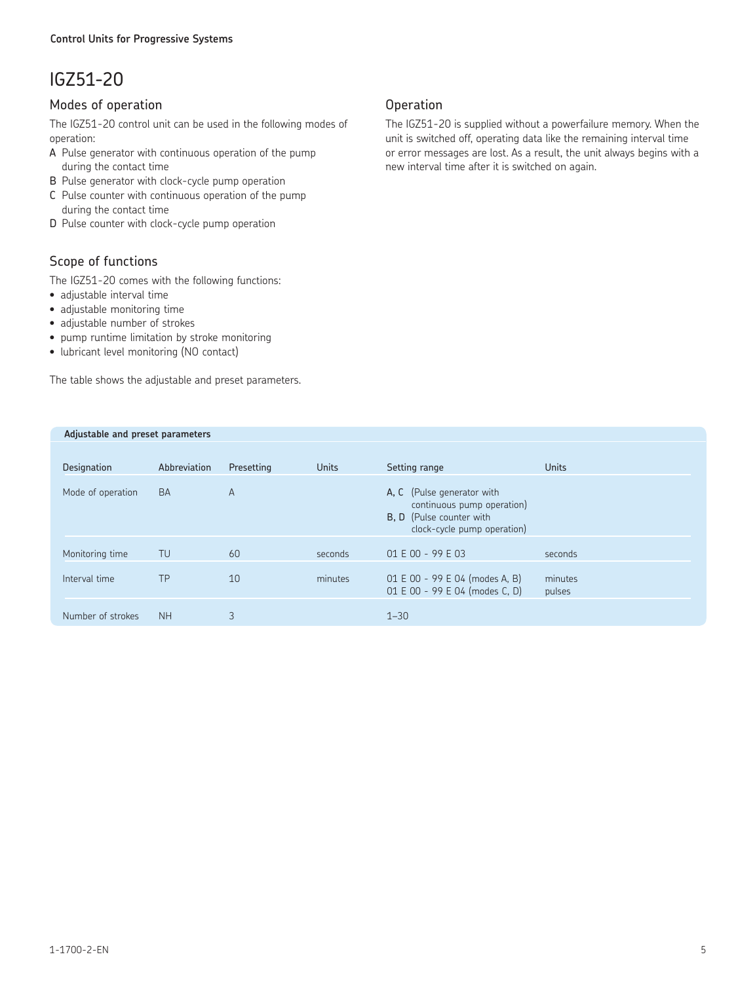# IGZ51-20

# Modes of operation

The IGZ51-20 control unit can be used in the following modes of operation:

- A Pulse generator with continuous operation of the pump during the contact time
- B Pulse generator with clock-cycle pump operation
- C Pulse counter with continuous operation of the pump during the contact time
- D Pulse counter with clock-cycle pump operation

# Scope of functions

The IGZ51-20 comes with the following functions:

- adjustable interval time
- adjustable monitoring time
- adjustable number of strokes
- pump runtime limitation by stroke monitoring
- lubricant level monitoring (NO contact)

The table shows the adjustable and preset parameters.

### **Operation**

The IGZ51-20 is supplied without a powerfailure memory. When the unit is switched off, operating data like the remaining interval time or error messages are lost. As a result, the unit always begins with a new interval time after it is switched on again.

| Adjustable and preset parameters |              |                |              |                                                                                                                            |                   |
|----------------------------------|--------------|----------------|--------------|----------------------------------------------------------------------------------------------------------------------------|-------------------|
|                                  |              |                |              |                                                                                                                            |                   |
| Designation                      | Abbreviation | Presetting     | <b>Units</b> | Setting range                                                                                                              | <b>Units</b>      |
| Mode of operation                | <b>BA</b>    | $\overline{A}$ |              | A, C (Pulse generator with<br>continuous pump operation)<br><b>B, D</b> (Pulse counter with<br>clock-cycle pump operation) |                   |
| Monitoring time                  | TU           | 60             | seconds      | $01 E 00 - 99 E 03$                                                                                                        | seconds           |
| Interval time                    | <b>TP</b>    | 10             | minutes      | 01 E 00 - 99 E 04 (modes A, B)<br>01 E 00 - 99 E 04 (modes C, D)                                                           | minutes<br>pulses |
| Number of strokes                | <b>NH</b>    | 3              |              | $1 - 30$                                                                                                                   |                   |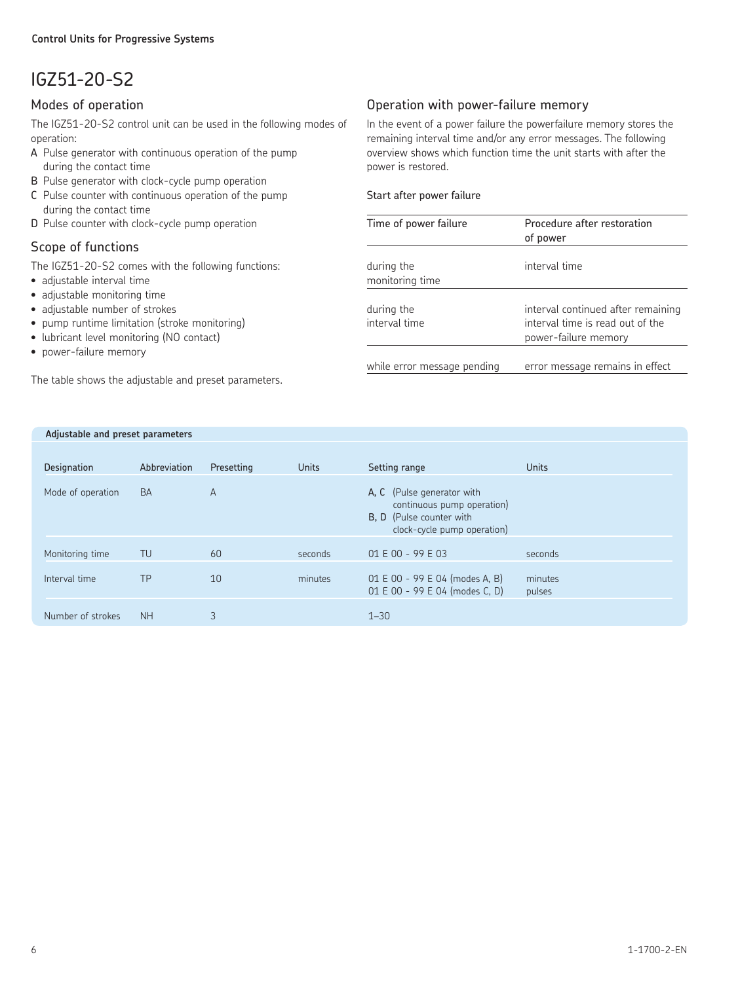# IGZ51-20-S2

### Modes of operation

The IGZ51-20-S2 control unit can be used in the following modes of operation:

- A Pulse generator with continuous operation of the pump during the contact time
- B Pulse generator with clock-cycle pump operation
- C Pulse counter with continuous operation of the pump during the contact time
- D Pulse counter with clock-cycle pump operation

# Scope of functions

The IGZ51-20-S2 comes with the following functions:

- adjustable interval time
- adjustable monitoring time
- adjustable number of strokes
- pump runtime limitation (stroke monitoring)
- lubricant level monitoring (NO contact)
- power-failure memory

The table shows the adjustable and preset parameters.

# Operation with power-failure memory

In the event of a power failure the powerfailure memory stores the remaining interval time and/or any error messages. The following overview shows which function time the unit starts with after the power is restored.

### Start after power failure

| Time of power failure         | Procedure after restoration<br>of power                                                        |
|-------------------------------|------------------------------------------------------------------------------------------------|
| during the<br>monitoring time | interval time                                                                                  |
| during the<br>interval time   | interval continued after remaining<br>interval time is read out of the<br>power-failure memory |
| while error message pending   | error message remains in effect                                                                |

| Adjustable and preset parameters |              |                |              |                                                                                                                            |                   |
|----------------------------------|--------------|----------------|--------------|----------------------------------------------------------------------------------------------------------------------------|-------------------|
| Designation                      | Abbreviation | Presetting     | <b>Units</b> | Setting range                                                                                                              | <b>Units</b>      |
| Mode of operation                | <b>BA</b>    | $\overline{A}$ |              | A. C (Pulse generator with<br>continuous pump operation)<br><b>B, D</b> (Pulse counter with<br>clock-cycle pump operation) |                   |
| Monitoring time                  | TU           | 60             | seconds      | $01 E 00 - 99 E 03$                                                                                                        | seconds           |
| Interval time                    | <b>TP</b>    | 10             | minutes      | 01 E 00 - 99 E 04 (modes A, B)<br>01 E 00 - 99 E 04 (modes C, D)                                                           | minutes<br>pulses |
| Number of strokes                | <b>NH</b>    | 3              |              | $1 - 30$                                                                                                                   |                   |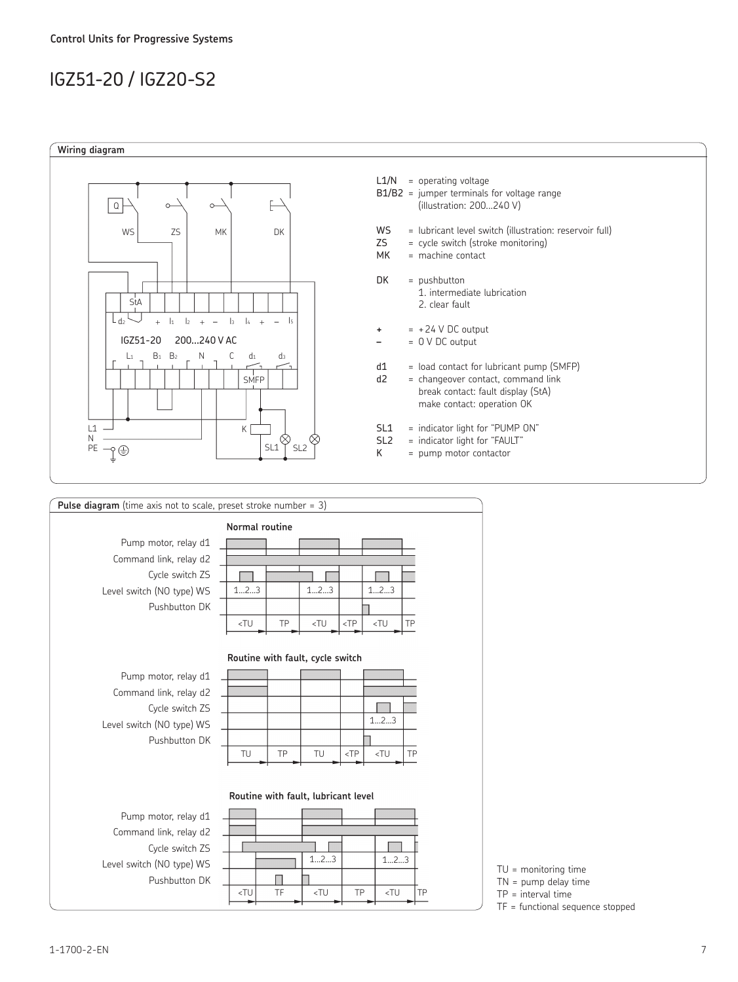# IGZ51-20 / IGZ20-S2



| <b>Pulse diagram</b> (time axis not to scale, preset stroke number = $3$ ) |                                                                                                                                  |    |                                                                                             |        |                                       |    |  |
|----------------------------------------------------------------------------|----------------------------------------------------------------------------------------------------------------------------------|----|---------------------------------------------------------------------------------------------|--------|---------------------------------------|----|--|
|                                                                            | Normal routine                                                                                                                   |    |                                                                                             |        |                                       |    |  |
| Pump motor, relay d1                                                       |                                                                                                                                  |    |                                                                                             |        |                                       |    |  |
| Command link, relay d2                                                     |                                                                                                                                  |    |                                                                                             |        |                                       |    |  |
| Cycle switch ZS                                                            |                                                                                                                                  |    |                                                                                             |        |                                       |    |  |
| Level switch (NO type) WS                                                  | 123                                                                                                                              |    | 123                                                                                         |        | 123                                   |    |  |
| Pushbutton DK                                                              |                                                                                                                                  |    |                                                                                             |        |                                       |    |  |
|                                                                            | <tu< td=""><td>TP</td><td><tu< td=""><td><math>&lt;</math>TP</td><td><tu< td=""><td>TP</td><td></td></tu<></td></tu<></td></tu<> | TP | <tu< td=""><td><math>&lt;</math>TP</td><td><tu< td=""><td>TP</td><td></td></tu<></td></tu<> | $<$ TP | <tu< td=""><td>TP</td><td></td></tu<> | TP |  |
|                                                                            |                                                                                                                                  |    |                                                                                             |        |                                       |    |  |
|                                                                            | Routine with fault, cycle switch                                                                                                 |    |                                                                                             |        |                                       |    |  |
|                                                                            |                                                                                                                                  |    |                                                                                             |        |                                       |    |  |
| Pump motor, relay d1                                                       |                                                                                                                                  |    |                                                                                             |        |                                       |    |  |
| Command link, relay d2                                                     |                                                                                                                                  |    |                                                                                             |        |                                       |    |  |
| Cycle switch ZS                                                            |                                                                                                                                  |    |                                                                                             |        | 123                                   |    |  |
| Level switch (NO type) WS                                                  |                                                                                                                                  |    |                                                                                             |        |                                       |    |  |
| Pushbutton DK                                                              | TU                                                                                                                               | TP | TU                                                                                          | $<$ TP | <tu< td=""><td>TP</td><td></td></tu<> | TP |  |
|                                                                            |                                                                                                                                  |    |                                                                                             |        |                                       |    |  |
|                                                                            |                                                                                                                                  |    |                                                                                             |        |                                       |    |  |
|                                                                            |                                                                                                                                  |    | Routine with fault, lubricant level                                                         |        |                                       |    |  |
| Pump motor, relay d1                                                       |                                                                                                                                  |    |                                                                                             |        |                                       |    |  |
| Command link, relay d2                                                     |                                                                                                                                  |    |                                                                                             |        |                                       |    |  |
| Cycle switch ZS                                                            |                                                                                                                                  |    |                                                                                             |        |                                       |    |  |
| Level switch (NO type) WS                                                  |                                                                                                                                  |    | 123                                                                                         |        | 123                                   |    |  |
| Pushbutton DK                                                              |                                                                                                                                  |    |                                                                                             |        |                                       |    |  |

<TU TF <TU TP <TU TP

TU = monitoring time

TN = pump delay time

TP = interval time

TF = functional sequence stopped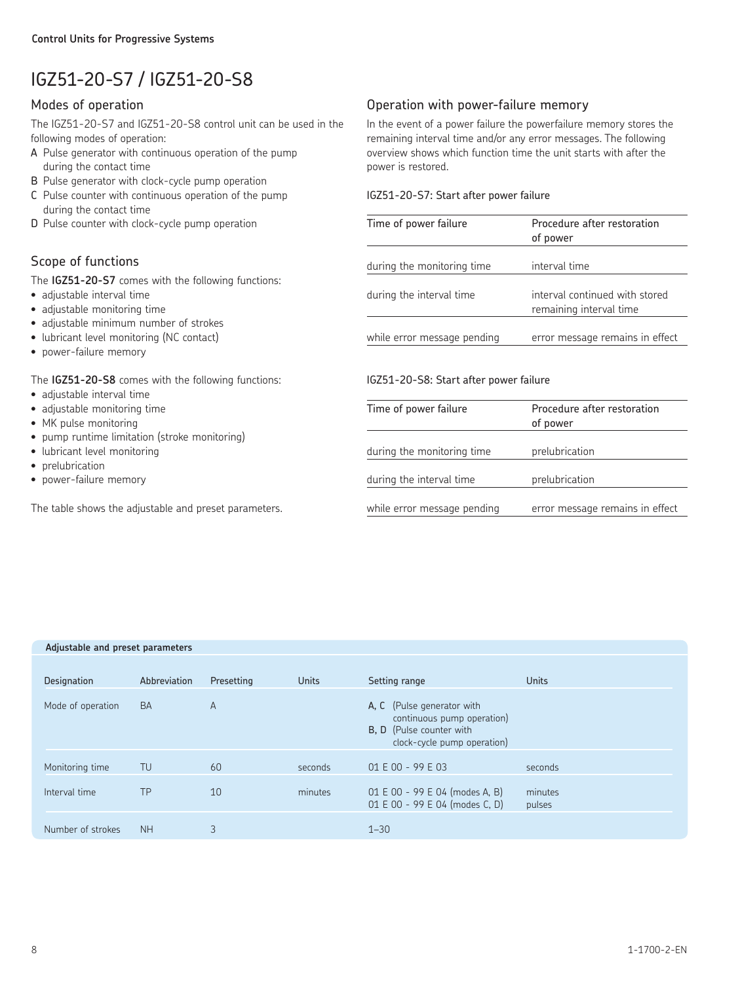# IGZ51-20-S7 / IGZ51-20-S8

### Modes of operation

The IGZ51-20-S7 and IGZ51-20-S8 control unit can be used in the following modes of operation:

- A Pulse generator with continuous operation of the pump during the contact time
- B Pulse generator with clock-cycle pump operation
- C Pulse counter with continuous operation of the pump during the contact time
- D Pulse counter with clock-cycle pump operation

# Scope of functions

The **IGZ51-20-S7** comes with the following functions:

- adjustable interval time
- adjustable monitoring time
- adjustable minimum number of strokes
- lubricant level monitoring (NC contact)
- power-failure memory

### The **IGZ51-20-S8** comes with the following functions:

- adjustable interval time
- adjustable monitoring time
- MK pulse monitoring
- pump runtime limitation (stroke monitoring)
- lubricant level monitoring
- prelubrication
- power-failure memory

The table shows the adjustable and preset parameters.

# Operation with power-failure memory

In the event of a power failure the powerfailure memory stores the remaining interval time and/or any error messages. The following overview shows which function time the unit starts with after the power is restored.

### IGZ51-20-S7: Start after power failure

| Time of power failure       | Procedure after restoration<br>of power                   |
|-----------------------------|-----------------------------------------------------------|
| during the monitoring time  | interval time                                             |
| during the interval time    | interval continued with stored<br>remaining interval time |
| while error message pending | error message remains in effect                           |

### IGZ51-20-S8: Start after power failure

| Time of power failure       | Procedure after restoration<br>of power |
|-----------------------------|-----------------------------------------|
| during the monitoring time  | prelubrication                          |
| during the interval time    | prelubrication                          |
| while error message pending | error message remains in effect         |

### **Adjustable and preset parameters**

| Designation       | Abbreviation | Presetting | <b>Units</b> | Setting range                                                                                                              | Units             |
|-------------------|--------------|------------|--------------|----------------------------------------------------------------------------------------------------------------------------|-------------------|
| Mode of operation | <b>BA</b>    | A          |              | A, C (Pulse generator with<br>continuous pump operation)<br><b>B. D</b> (Pulse counter with<br>clock-cycle pump operation) |                   |
| Monitoring time   | TU           | 60         | seconds      | $01 E 00 - 99 E 03$                                                                                                        | seconds           |
| Interval time     | TP           | 10         | minutes      | 01 E 00 - 99 E 04 (modes A, B)<br>01 E 00 - 99 E 04 (modes C, D)                                                           | minutes<br>pulses |
| Number of strokes | <b>NH</b>    | 3          |              | $1 - 30$                                                                                                                   |                   |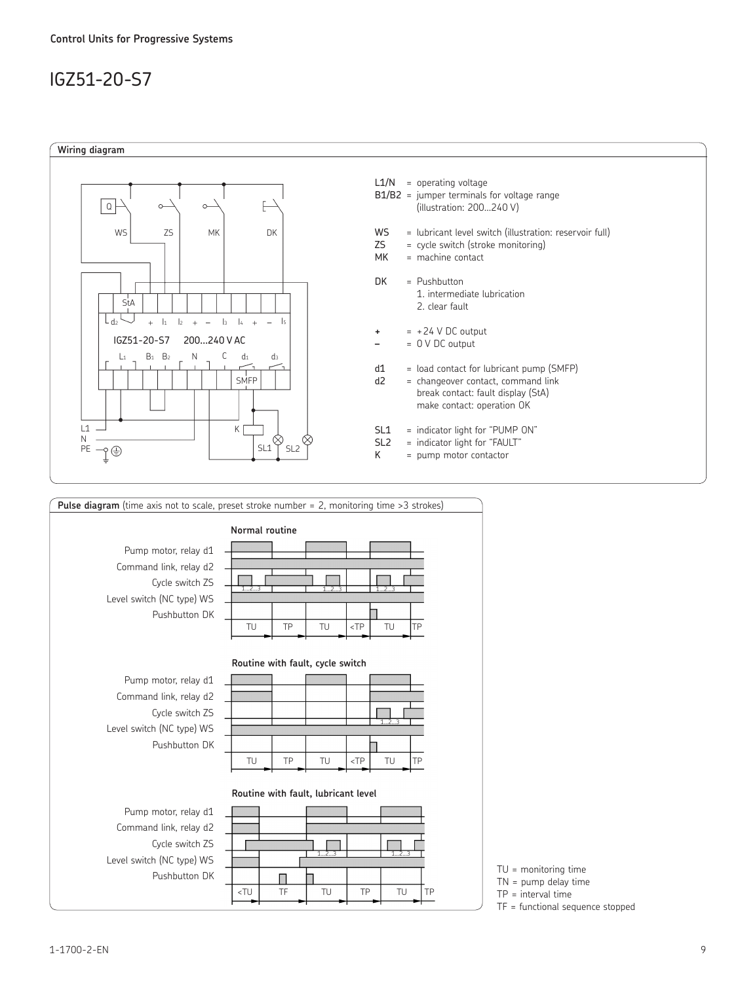# IGZ51-20-S7





TN = pump delay time

TP = interval time

TF = functional sequence stopped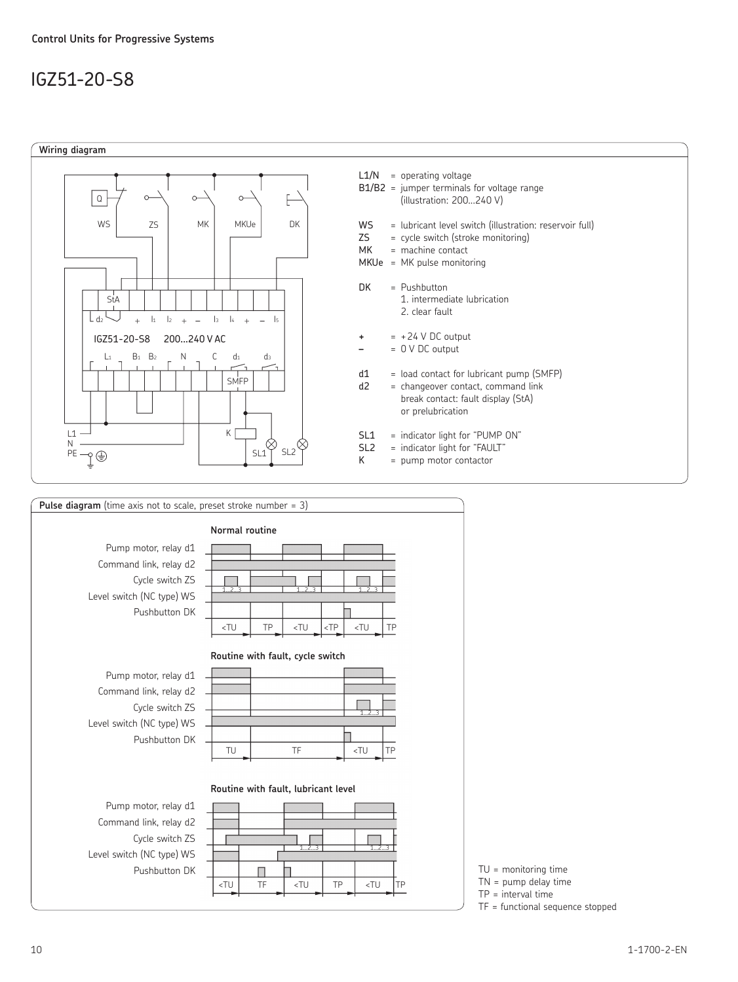# IGZ51-20-S8



![](_page_9_Figure_3.jpeg)

TN = pump delay time

TP = interval time

TF = functional sequence stopped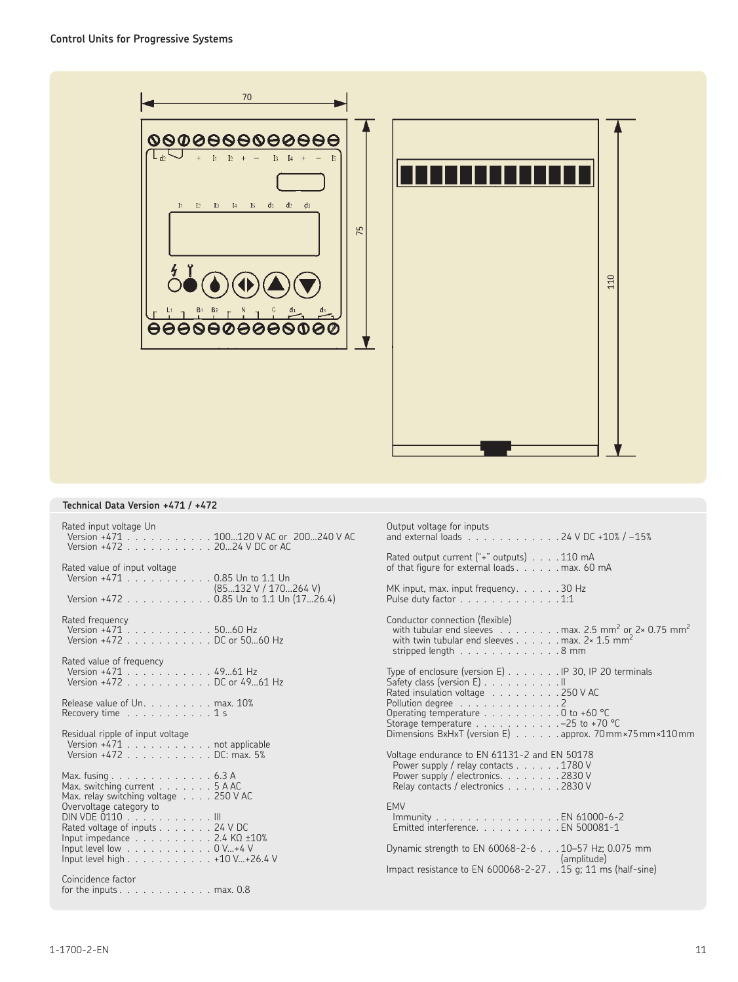![](_page_10_Picture_1.jpeg)

### **Technical Data Version +471 / +472**

| Rated input voltage Un<br>Version +471 100120 V AC or 200240 V AC<br>Version +472 2024 V DC or AC | Output voltage for inputs<br>and external loads 24 V DC +10% / -15%                                                                                                                                                                                  |
|---------------------------------------------------------------------------------------------------|------------------------------------------------------------------------------------------------------------------------------------------------------------------------------------------------------------------------------------------------------|
| Rated value of input voltage<br>Version +471 0.85 Un to 1.1 Un                                    | Rated output current ("+" outputs) 110 mA<br>of that figure for external loads max. 60 mA                                                                                                                                                            |
| (85132 V / 170264 V)<br>Version +472 0.85 Un to 1.1 Un (1726.4)                                   | MK input, max. input frequency. 30 Hz<br>Pulse duty factor $\ldots \ldots \ldots \ldots \ldots 1:1$                                                                                                                                                  |
| Rated frequency<br>Version +471 5060 Hz<br>Version +472 DC or 5060 Hz                             | Conductor connection (flexible)<br>with tubular end sleeves . $\dots$ max. 2.5 mm <sup>2</sup> or 2× 0.75 mm <sup>2</sup><br>with twin tubular end sleeves max. $2 \times 1.5$ mm <sup>2</sup><br>stripped length $\ldots \ldots \ldots \ldots$ 8 mm |
| Rated value of frequency<br>Version +471 4961 Hz                                                  |                                                                                                                                                                                                                                                      |
| Version +472 DC or 49  61 Hz                                                                      | Type of enclosure (version E) IP 30, IP 20 terminals<br>Safety class (version E) II<br>Rated insulation voltage 250 V AC                                                                                                                             |
| Release value of Un. max. 10%                                                                     | Pollution degree 2                                                                                                                                                                                                                                   |
| Recovery time $\ldots \ldots \ldots \ldots 1$ s                                                   | Operating temperature 0 to +60 °C<br>Storage temperature $\ldots$ -25 to +70 °C                                                                                                                                                                      |
| Residual ripple of input voltage                                                                  | Dimensions BxHxT (version E) approx. 70 mm × 75 mm × 110 mm                                                                                                                                                                                          |
| Version +471 not applicable<br>Version +472 DC: max. 5%                                           | Voltage endurance to EN 61131-2 and EN 50178<br>Power supply / relay contacts 1780 V                                                                                                                                                                 |
| Max. fusing 6.3 A<br>Max. switching current $\ldots \ldots \ldots 5$ A AC                         | Power supply / electronics. 2830 V<br>Relay contacts / electronics 2830 V                                                                                                                                                                            |
| Max. relay switching voltage $\ldots$ . 250 V AC                                                  |                                                                                                                                                                                                                                                      |
| Overvoltage category to<br>DIN VDE 0110 III                                                       | <b>EMV</b>                                                                                                                                                                                                                                           |
| Rated voltage of inputs 24 V DC                                                                   | Immunity EN 61000-6-2<br>Emitted interference. EN 500081-1                                                                                                                                                                                           |
| Input impedance $\ldots$ 2.4 K $\Omega$ $\pm$ 10%                                                 |                                                                                                                                                                                                                                                      |
| Input level low $\ldots$ 0 V+4 V<br>Input level high 410 V+26.4 V                                 | Dynamic strength to EN 60068-2-6 10-57 Hz; 0.075 mm<br>(amplitude)                                                                                                                                                                                   |
|                                                                                                   | Impact resistance to EN 600068-2-27. . 15 g; 11 ms (half-sine)                                                                                                                                                                                       |
| Coincidence factor<br>for the inputs $\dots$ $\dots$ $\dots$ $\dots$ $\dots$ $\dots$ max. 0.8     |                                                                                                                                                                                                                                                      |
|                                                                                                   |                                                                                                                                                                                                                                                      |